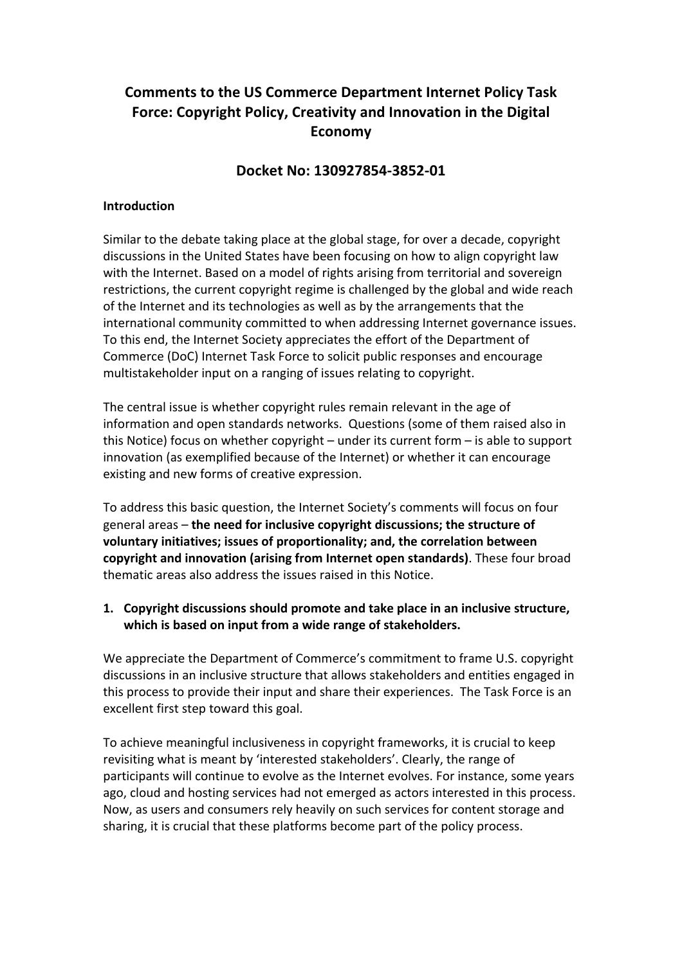# **Comments to the US Commerce Department Internet Policy Task** Force: Copyright Policy, Creativity and Innovation in the Digital **Economy**

#### **Docket No: 130927854-3852-01**

#### **Introduction**

Similar to the debate taking place at the global stage, for over a decade, copyright discussions in the United States have been focusing on how to align copyright law with the Internet. Based on a model of rights arising from territorial and sovereign restrictions, the current copyright regime is challenged by the global and wide reach of the Internet and its technologies as well as by the arrangements that the international community committed to when addressing Internet governance issues. To this end, the Internet Society appreciates the effort of the Department of Commerce (DoC) Internet Task Force to solicit public responses and encourage multistakeholder input on a ranging of issues relating to copyright.

The central issue is whether copyright rules remain relevant in the age of information and open standards networks. Questions (some of them raised also in this Notice) focus on whether copyright  $-$  under its current form  $-$  is able to support innovation (as exemplified because of the Internet) or whether it can encourage existing and new forms of creative expression.

To address this basic question, the Internet Society's comments will focus on four general areas – the need for inclusive copyright discussions; the structure of voluntary initiatives; issues of proportionality; and, the correlation between **copyright and innovation (arising from Internet open standards)**. These four broad thematic areas also address the issues raised in this Notice.

#### **1.** Copyright discussions should promote and take place in an inclusive structure, which is based on input from a wide range of stakeholders.

We appreciate the Department of Commerce's commitment to frame U.S. copyright discussions in an inclusive structure that allows stakeholders and entities engaged in this process to provide their input and share their experiences. The Task Force is an excellent first step toward this goal.

To achieve meaningful inclusiveness in copyright frameworks, it is crucial to keep revisiting what is meant by 'interested stakeholders'. Clearly, the range of participants will continue to evolve as the Internet evolves. For instance, some years ago, cloud and hosting services had not emerged as actors interested in this process. Now, as users and consumers rely heavily on such services for content storage and sharing, it is crucial that these platforms become part of the policy process.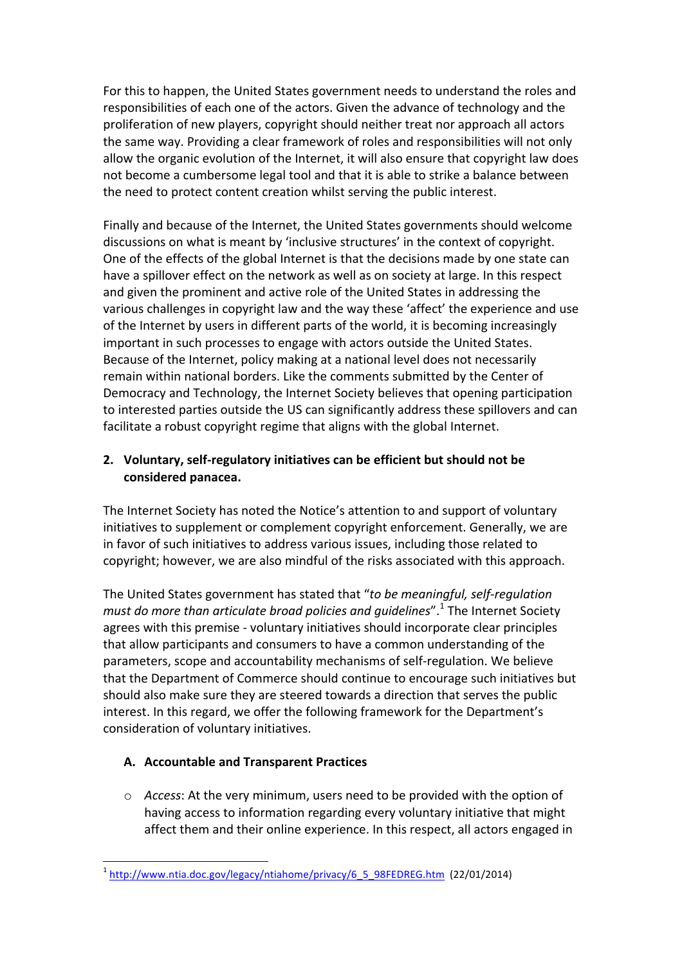For this to happen, the United States government needs to understand the roles and responsibilities of each one of the actors. Given the advance of technology and the proliferation of new players, copyright should neither treat nor approach all actors the same way. Providing a clear framework of roles and responsibilities will not only allow the organic evolution of the Internet, it will also ensure that copyright law does not become a cumbersome legal tool and that it is able to strike a balance between the need to protect content creation whilst serving the public interest.

Finally and because of the Internet, the United States governments should welcome discussions on what is meant by 'inclusive structures' in the context of copyright. One of the effects of the global Internet is that the decisions made by one state can have a spillover effect on the network as well as on society at large. In this respect and given the prominent and active role of the United States in addressing the various challenges in copyright law and the way these 'affect' the experience and use of the Internet by users in different parts of the world, it is becoming increasingly important in such processes to engage with actors outside the United States. Because of the Internet, policy making at a national level does not necessarily remain within national borders. Like the comments submitted by the Center of Democracy and Technology, the Internet Society believes that opening participation to interested parties outside the US can significantly address these spillovers and can facilitate a robust copyright regime that aligns with the global Internet.

# 2. Voluntary, self-regulatory initiatives can be efficient but should not be **considered panacea.**

The Internet Society has noted the Notice's attention to and support of voluntary initiatives to supplement or complement copyright enforcement. Generally, we are in favor of such initiatives to address various issues, including those related to copyright; however, we are also mindful of the risks associated with this approach.

The United States government has stated that "to be meaningful, self-regulation *must do more than articulate broad policies and guidelines*".<sup>1</sup> The Internet Society agrees with this premise - voluntary initiatives should incorporate clear principles that allow participants and consumers to have a common understanding of the parameters, scope and accountability mechanisms of self-regulation. We believe that the Department of Commerce should continue to encourage such initiatives but should also make sure they are steered towards a direction that serves the public interest. In this regard, we offer the following framework for the Department's consideration of voluntary initiatives.

# **A. Accountable and Transparent Practices**

 $\circ$  *Access*: At the very minimum, users need to be provided with the option of having access to information regarding every voluntary initiative that might affect them and their online experience. In this respect, all actors engaged in

 <sup>1</sup> http://www.ntia.doc.gov/legacy/ntiahome/privacy/6\_5\_98FEDREG.htm (22/01/2014)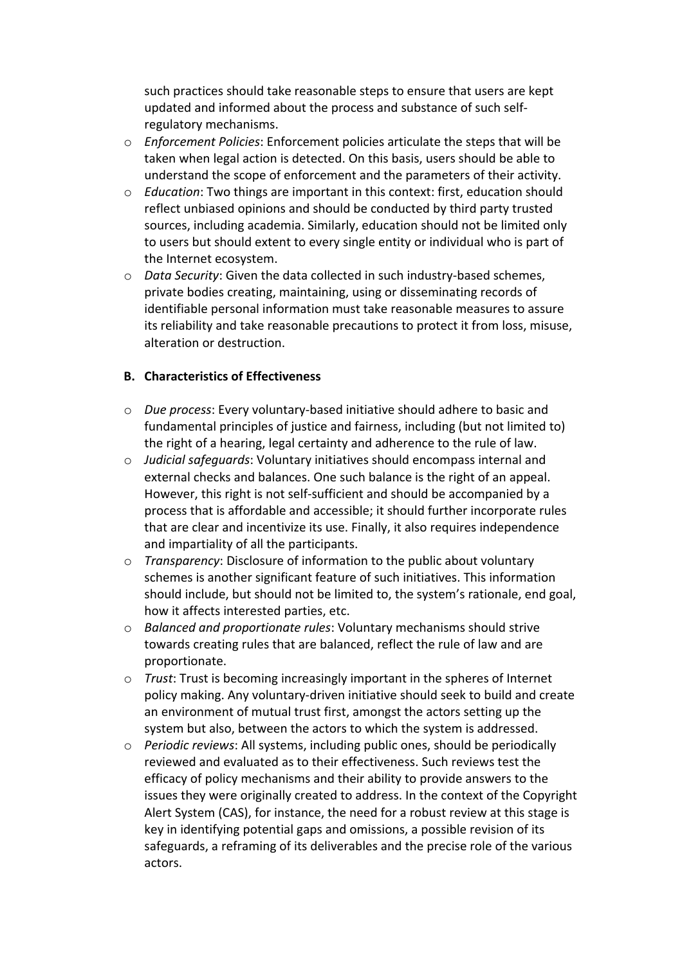such practices should take reasonable steps to ensure that users are kept updated and informed about the process and substance of such selfregulatory mechanisms.

- o *Enforcement Policies*: Enforcement policies articulate the steps that will be taken when legal action is detected. On this basis, users should be able to understand the scope of enforcement and the parameters of their activity.
- o *Education*: Two things are important in this context: first, education should reflect unbiased opinions and should be conducted by third party trusted sources, including academia. Similarly, education should not be limited only to users but should extent to every single entity or individual who is part of the Internet ecosystem.
- o *Data Security*: Given the data collected in such industry-based schemes, private bodies creating, maintaining, using or disseminating records of identifiable personal information must take reasonable measures to assure its reliability and take reasonable precautions to protect it from loss, misuse, alteration or destruction.

#### **B. Characteristics of Effectiveness**

- o *Due process*: Every voluntary-based initiative should adhere to basic and fundamental principles of justice and fairness, including (but not limited to) the right of a hearing, legal certainty and adherence to the rule of law.
- o *Judicial safeguards*: Voluntary initiatives should encompass internal and external checks and balances. One such balance is the right of an appeal. However, this right is not self-sufficient and should be accompanied by a process that is affordable and accessible; it should further incorporate rules that are clear and incentivize its use. Finally, it also requires independence and impartiality of all the participants.
- o *Transparency*: Disclosure of information to the public about voluntary schemes is another significant feature of such initiatives. This information should include, but should not be limited to, the system's rationale, end goal, how it affects interested parties, etc.
- o *Balanced and proportionate rules*: Voluntary mechanisms should strive towards creating rules that are balanced, reflect the rule of law and are proportionate.
- o *Trust*: Trust is becoming increasingly important in the spheres of Internet policy making. Any voluntary-driven initiative should seek to build and create an environment of mutual trust first, amongst the actors setting up the system but also, between the actors to which the system is addressed.
- o *Periodic reviews*: All systems, including public ones, should be periodically reviewed and evaluated as to their effectiveness. Such reviews test the efficacy of policy mechanisms and their ability to provide answers to the issues they were originally created to address. In the context of the Copyright Alert System (CAS), for instance, the need for a robust review at this stage is key in identifying potential gaps and omissions, a possible revision of its safeguards, a reframing of its deliverables and the precise role of the various actors.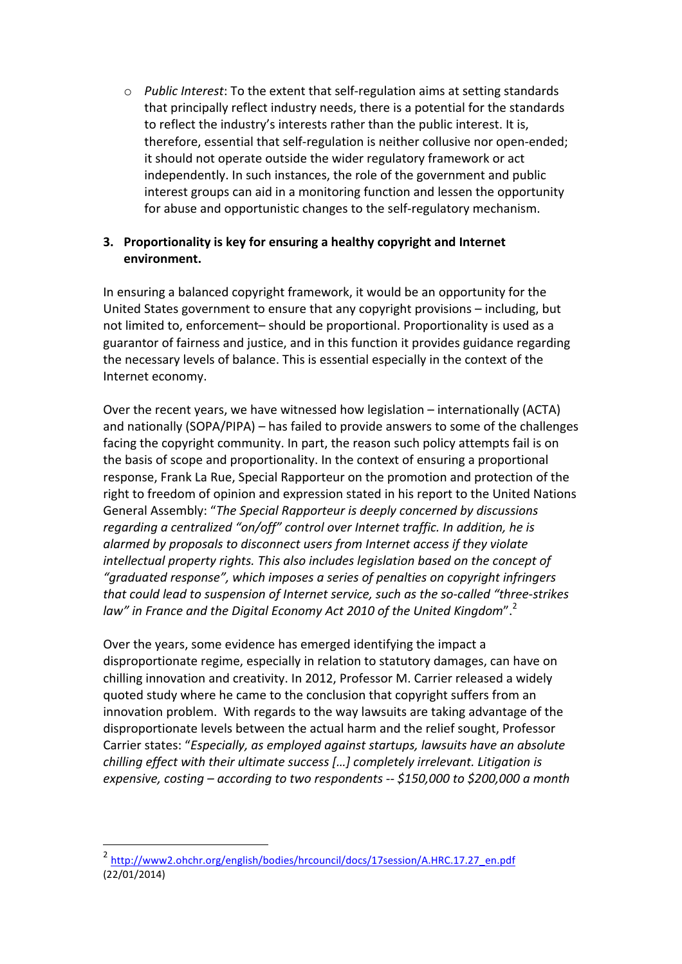$\circ$  *Public Interest*: To the extent that self-regulation aims at setting standards that principally reflect industry needs, there is a potential for the standards to reflect the industry's interests rather than the public interest. It is, therefore, essential that self-regulation is neither collusive nor open-ended; it should not operate outside the wider regulatory framework or act independently. In such instances, the role of the government and public interest groups can aid in a monitoring function and lessen the opportunity for abuse and opportunistic changes to the self-regulatory mechanism.

### **3.** Proportionality is key for ensuring a healthy copyright and Internet **environment.**

In ensuring a balanced copyright framework, it would be an opportunity for the United States government to ensure that any copyright provisions - including, but not limited to, enforcement- should be proportional. Proportionality is used as a guarantor of fairness and justice, and in this function it provides guidance regarding the necessary levels of balance. This is essential especially in the context of the Internet economy. 

Over the recent years, we have witnessed how legislation  $-$  internationally (ACTA) and nationally  $(SOPA/PIPA)$  – has failed to provide answers to some of the challenges facing the copyright community. In part, the reason such policy attempts fail is on the basis of scope and proportionality. In the context of ensuring a proportional response, Frank La Rue, Special Rapporteur on the promotion and protection of the right to freedom of opinion and expression stated in his report to the United Nations General Assembly: "The Special Rapporteur is deeply concerned by discussions *regarding a centralized "on/off" control over Internet traffic. In addition, he is alarmed by proposals to disconnect users from Internet access if they violate intellectual property rights. This also includes legislation based on the concept of* "graduated response", which imposes a series of penalties on copyright infringers that could lead to suspension of Internet service, such as the so-called "three-strikes law" in France and the Digital Economy Act 2010 of the United Kingdom".<sup>2</sup>

Over the years, some evidence has emerged identifying the impact a disproportionate regime, especially in relation to statutory damages, can have on chilling innovation and creativity. In 2012, Professor M. Carrier released a widely quoted study where he came to the conclusion that copyright suffers from an innovation problem. With regards to the way lawsuits are taking advantage of the disproportionate levels between the actual harm and the relief sought, Professor Carrier states: "Especially, as employed against startups, lawsuits have an absolute *chilling effect* with their ultimate success [...] completely irrelevant. Litigation is *expensive, costing* – *according to two respondents* -- \$150,000 to \$200,000 a month

 

<sup>2</sup> http://www2.ohchr.org/english/bodies/hrcouncil/docs/17session/A.HRC.17.27\_en.pdf (22/01/2014)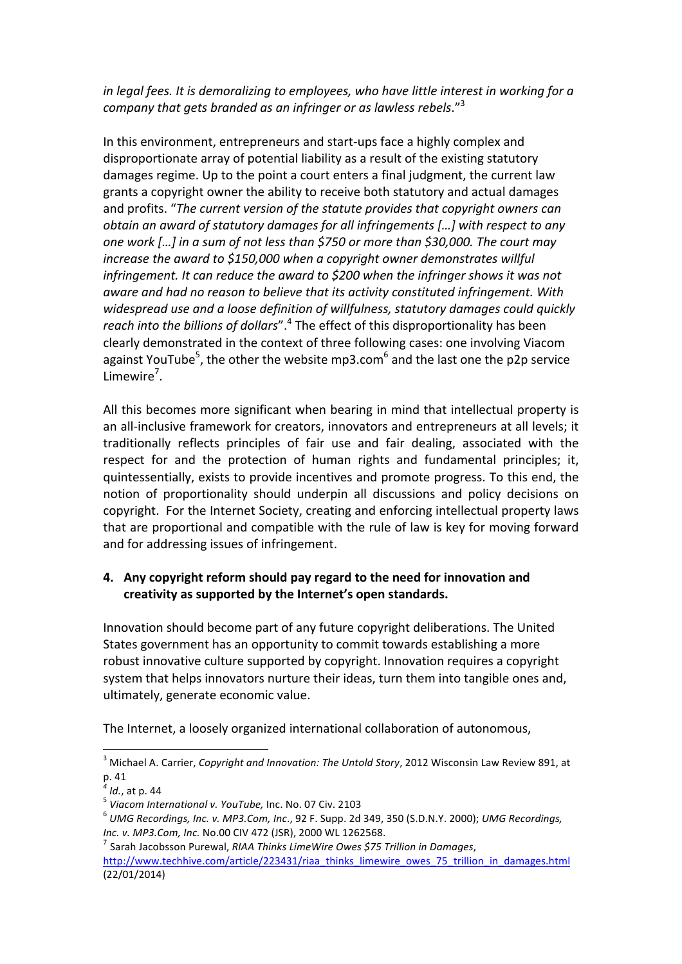*in* legal fees. It is demoralizing to employees, who have little interest in working for a company that gets branded as an infringer or as lawless rebels."<sup>3</sup>

In this environment, entrepreneurs and start-ups face a highly complex and disproportionate array of potential liability as a result of the existing statutory damages regime. Up to the point a court enters a final judgment, the current law grants a copyright owner the ability to receive both statutory and actual damages and profits. "The current version of the statute provides that copyright owners can *obtain an award of statutory damages for all infringements [...] with respect to any one* work [...] in a sum of not less than \$750 or more than \$30,000. The court may *increase the award to \$150,000 when a copyright owner demonstrates willful infringement. It can reduce the award to \$200 when the infringer shows it was not aware and had no reason to believe that its activity constituted infringement. With* widespread use and a loose definition of willfulness, statutory damages could quickly *reach into the billions of dollars*".<sup>4</sup> The effect of this disproportionality has been clearly demonstrated in the context of three following cases: one involving Viacom against YouTube<sup>5</sup>, the other the website mp3.com<sup>6</sup> and the last one the p2p service Limewire<sup>7</sup>.

All this becomes more significant when bearing in mind that intellectual property is an all-inclusive framework for creators, innovators and entrepreneurs at all levels; it traditionally reflects principles of fair use and fair dealing, associated with the respect for and the protection of human rights and fundamental principles; it, quintessentially, exists to provide incentives and promote progress. To this end, the notion of proportionality should underpin all discussions and policy decisions on copyright. For the Internet Society, creating and enforcing intellectual property laws that are proportional and compatible with the rule of law is key for moving forward and for addressing issues of infringement.

### **4.** Any copyright reform should pay regard to the need for innovation and creativity as supported by the Internet's open standards.

Innovation should become part of any future copyright deliberations. The United States government has an opportunity to commit towards establishing a more robust innovative culture supported by copyright. Innovation requires a copyright system that helps innovators nurture their ideas, turn them into tangible ones and, ultimately, generate economic value.

The Internet, a loosely organized international collaboration of autonomous,

<sup>&</sup>lt;sup>3</sup> Michael A. Carrier, *Copyright and Innovation: The Untold Story*, 2012 Wisconsin Law Review 891, at p. 41

<sup>&</sup>lt;sup>4</sup> *Id.*, at p. 44<br><sup>5</sup> Viacom International v. YouTube, Inc. No. 07 Civ. 2103<br><sup>6</sup> UMG Recordings, Inc. v. MP3.Com, Inc., 92 F. Supp. 2d 349, 350 (S.D.N.Y. 2000); UMG Recordings, *Inc.* v. MP3.Com, Inc. No.00 CIV 472 (JSR), 2000 WL 1262568.<br><sup>7</sup> Sarah Jacobsson Purewal, *RIAA Thinks LimeWire Owes \$75 Trillion in Damages*,

http://www.techhive.com/article/223431/riaa\_thinks\_limewire\_owes\_75\_trillion\_in\_damages.html (22/01/2014)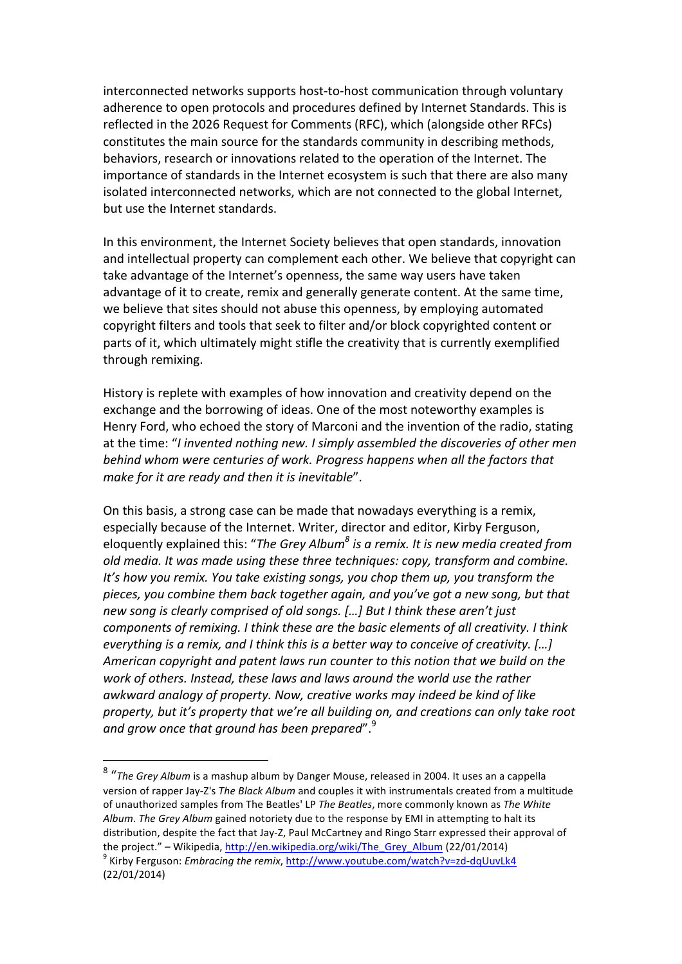interconnected networks supports host-to-host communication through voluntary adherence to open protocols and procedures defined by Internet Standards. This is reflected in the 2026 Request for Comments (RFC), which (alongside other RFCs) constitutes the main source for the standards community in describing methods, behaviors, research or innovations related to the operation of the Internet. The importance of standards in the Internet ecosystem is such that there are also many isolated interconnected networks, which are not connected to the global Internet, but use the Internet standards.

In this environment, the Internet Society believes that open standards, innovation and intellectual property can complement each other. We believe that copyright can take advantage of the Internet's openness, the same way users have taken advantage of it to create, remix and generally generate content. At the same time, we believe that sites should not abuse this openness, by employing automated copyright filters and tools that seek to filter and/or block copyrighted content or parts of it, which ultimately might stifle the creativity that is currently exemplified through remixing.

History is replete with examples of how innovation and creativity depend on the exchange and the borrowing of ideas. One of the most noteworthy examples is Henry Ford, who echoed the story of Marconi and the invention of the radio, stating at the time: "*I* invented nothing new. I simply assembled the discoveries of other men *behind* whom were centuries of work. Progress happens when all the factors that *make for it are ready and then it is inevitable"*.

On this basis, a strong case can be made that nowadays everything is a remix, especially because of the Internet. Writer, director and editor, Kirby Ferguson, eloquently explained this: "The Grey Album<sup>8</sup> is a remix. It is new media created from *old media.* It was made using these three techniques: copy, transform and combine. *It's* how you remix. You take existing songs, you chop them up, you transform the pieces, you combine them back together again, and you've got a new song, but that *new song is clearly comprised of old songs. [...] But I think these aren't just components of remixing. I think these are the basic elements of all creativity. I think everything is a remix, and I think this is a better way to conceive of creativity.* [...] *American copyright and patent laws run counter to this notion that we build on the* work of others. Instead, these laws and laws around the world use the rather awkward analogy of property. Now, creative works may indeed be kind of like property, but it's property that we're all building on, and creations can only take root and grow once that ground has been prepared".<sup>9</sup>

 

<sup>&</sup>lt;sup>8</sup> "The Grey Album is a mashup album by Danger Mouse, released in 2004. It uses an a cappella version of rapper Jay-Z's The Black Album and couples it with instrumentals created from a multitude of unauthorized samples from The Beatles' LP The Beatles, more commonly known as The White Album. The Grey Album gained notoriety due to the response by EMI in attempting to halt its distribution, despite the fact that Jay-Z, Paul McCartney and Ringo Starr expressed their approval of the project." – Wikipedia, http://en.wikipedia.org/wiki/The\_Grey\_Album (22/01/2014)<br><sup>9</sup> Kirby Ferguson: *Embracing the remix*, http://www.youtube.com/watch?v=zd-dqUuvLk4 (22/01/2014)